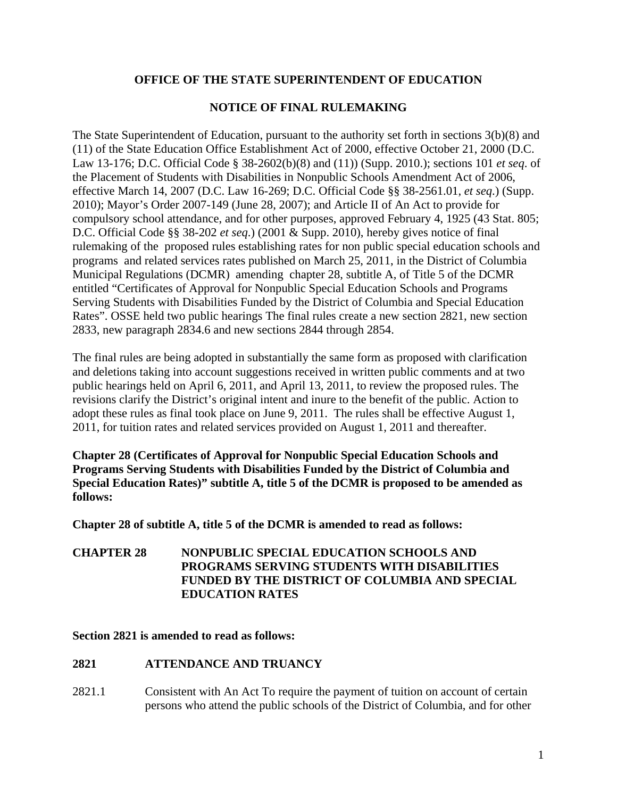## **OFFICE OF THE STATE SUPERINTENDENT OF EDUCATION**

# **NOTICE OF FINAL RULEMAKING**

The State Superintendent of Education, pursuant to the authority set forth in sections 3(b)(8) and (11) of the State Education Office Establishment Act of 2000, effective October 21, 2000 (D.C. Law 13-176; D.C. Official Code § 38-2602(b)(8) and (11)) (Supp. 2010.); sections 101 *et seq*. of the Placement of Students with Disabilities in Nonpublic Schools Amendment Act of 2006, effective March 14, 2007 (D.C. Law 16-269; D.C. Official Code §§ 38-2561.01, *et seq*.) (Supp. 2010); Mayor's Order 2007-149 (June 28, 2007); and Article II of An Act to provide for compulsory school attendance, and for other purposes, approved February 4, 1925 (43 Stat. 805; D.C. Official Code §§ 38-202 *et seq*.) (2001 & Supp. 2010), hereby gives notice of final rulemaking of the proposed rules establishing rates for non public special education schools and programs and related services rates published on March 25, 2011, in the District of Columbia Municipal Regulations (DCMR) amending chapter 28, subtitle A, of Title 5 of the DCMR entitled "Certificates of Approval for Nonpublic Special Education Schools and Programs Serving Students with Disabilities Funded by the District of Columbia and Special Education Rates". OSSE held two public hearings The final rules create a new section 2821, new section 2833, new paragraph 2834.6 and new sections 2844 through 2854.

The final rules are being adopted in substantially the same form as proposed with clarification and deletions taking into account suggestions received in written public comments and at two public hearings held on April 6, 2011, and April 13, 2011, to review the proposed rules. The revisions clarify the District's original intent and inure to the benefit of the public. Action to adopt these rules as final took place on June 9, 2011. The rules shall be effective August 1, 2011, for tuition rates and related services provided on August 1, 2011 and thereafter.

**Chapter 28 (Certificates of Approval for Nonpublic Special Education Schools and Programs Serving Students with Disabilities Funded by the District of Columbia and Special Education Rates)" subtitle A, title 5 of the DCMR is proposed to be amended as follows:** 

**Chapter 28 of subtitle A, title 5 of the DCMR is amended to read as follows:** 

**CHAPTER 28 NONPUBLIC SPECIAL EDUCATION SCHOOLS AND PROGRAMS SERVING STUDENTS WITH DISABILITIES FUNDED BY THE DISTRICT OF COLUMBIA AND SPECIAL EDUCATION RATES**

**Section 2821 is amended to read as follows:** 

## **2821 ATTENDANCE AND TRUANCY**

2821.1 Consistent with An Act To require the payment of tuition on account of certain persons who attend the public schools of the District of Columbia, and for other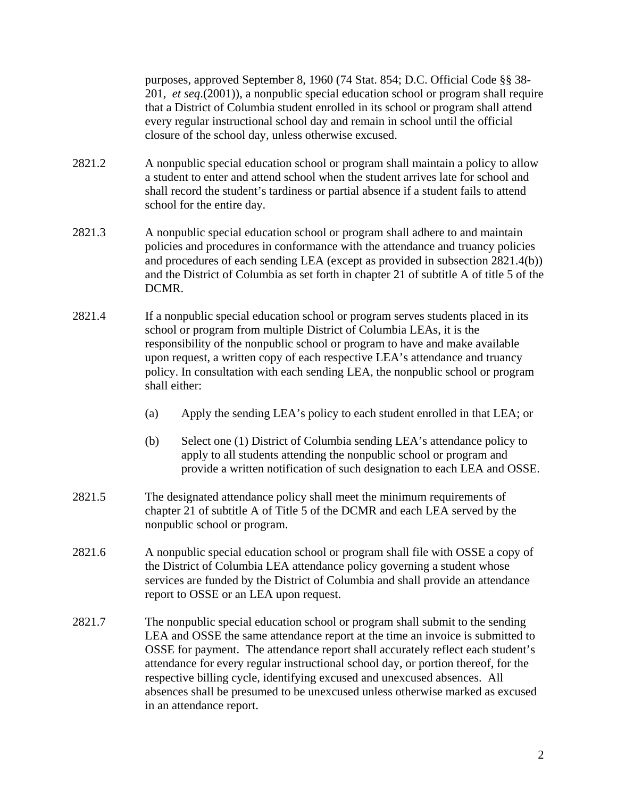purposes, approved September 8, 1960 (74 Stat. 854; D.C. Official Code §§ 38- 201, *et seq*.(2001)), a nonpublic special education school or program shall require that a District of Columbia student enrolled in its school or program shall attend every regular instructional school day and remain in school until the official closure of the school day, unless otherwise excused.

- 2821.2 A nonpublic special education school or program shall maintain a policy to allow a student to enter and attend school when the student arrives late for school and shall record the student's tardiness or partial absence if a student fails to attend school for the entire day.
- 2821.3 A nonpublic special education school or program shall adhere to and maintain policies and procedures in conformance with the attendance and truancy policies and procedures of each sending LEA (except as provided in subsection 2821.4(b)) and the District of Columbia as set forth in chapter 21 of subtitle A of title 5 of the DCMR.
- 2821.4 If a nonpublic special education school or program serves students placed in its school or program from multiple District of Columbia LEAs, it is the responsibility of the nonpublic school or program to have and make available upon request, a written copy of each respective LEA's attendance and truancy policy. In consultation with each sending LEA, the nonpublic school or program shall either:
	- (a) Apply the sending LEA's policy to each student enrolled in that LEA; or
	- (b) Select one (1) District of Columbia sending LEA's attendance policy to apply to all students attending the nonpublic school or program and provide a written notification of such designation to each LEA and OSSE.
- 2821.5 The designated attendance policy shall meet the minimum requirements of chapter 21 of subtitle A of Title 5 of the DCMR and each LEA served by the nonpublic school or program.
- 2821.6 A nonpublic special education school or program shall file with OSSE a copy of the District of Columbia LEA attendance policy governing a student whose services are funded by the District of Columbia and shall provide an attendance report to OSSE or an LEA upon request.
- 2821.7 The nonpublic special education school or program shall submit to the sending LEA and OSSE the same attendance report at the time an invoice is submitted to OSSE for payment. The attendance report shall accurately reflect each student's attendance for every regular instructional school day, or portion thereof, for the respective billing cycle, identifying excused and unexcused absences. All absences shall be presumed to be unexcused unless otherwise marked as excused in an attendance report.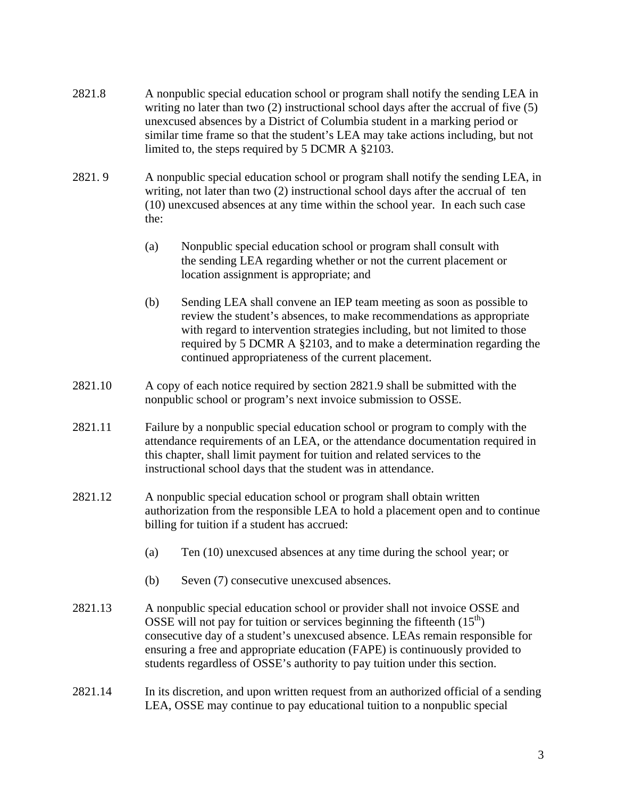- 2821.8 A nonpublic special education school or program shall notify the sending LEA in writing no later than two (2) instructional school days after the accrual of five (5) unexcused absences by a District of Columbia student in a marking period or similar time frame so that the student's LEA may take actions including, but not limited to, the steps required by 5 DCMR A §2103.
- 2821. 9 A nonpublic special education school or program shall notify the sending LEA, in writing, not later than two (2) instructional school days after the accrual of ten (10) unexcused absences at any time within the school year. In each such case the:
	- (a) Nonpublic special education school or program shall consult with the sending LEA regarding whether or not the current placement or location assignment is appropriate; and
	- (b) Sending LEA shall convene an IEP team meeting as soon as possible to review the student's absences, to make recommendations as appropriate with regard to intervention strategies including, but not limited to those required by 5 DCMR A §2103, and to make a determination regarding the continued appropriateness of the current placement.
- 2821.10 A copy of each notice required by section 2821.9 shall be submitted with the nonpublic school or program's next invoice submission to OSSE.
- 2821.11 Failure by a nonpublic special education school or program to comply with the attendance requirements of an LEA, or the attendance documentation required in this chapter, shall limit payment for tuition and related services to the instructional school days that the student was in attendance.
- 2821.12 A nonpublic special education school or program shall obtain written authorization from the responsible LEA to hold a placement open and to continue billing for tuition if a student has accrued:
	- (a) Ten (10) unexcused absences at any time during the school year; or
	- (b) Seven (7) consecutive unexcused absences.
- 2821.13 A nonpublic special education school or provider shall not invoice OSSE and OSSE will not pay for tuition or services beginning the fifteenth  $(15<sup>th</sup>)$ consecutive day of a student's unexcused absence. LEAs remain responsible for ensuring a free and appropriate education (FAPE) is continuously provided to students regardless of OSSE's authority to pay tuition under this section.
- 2821.14 In its discretion, and upon written request from an authorized official of a sending LEA, OSSE may continue to pay educational tuition to a nonpublic special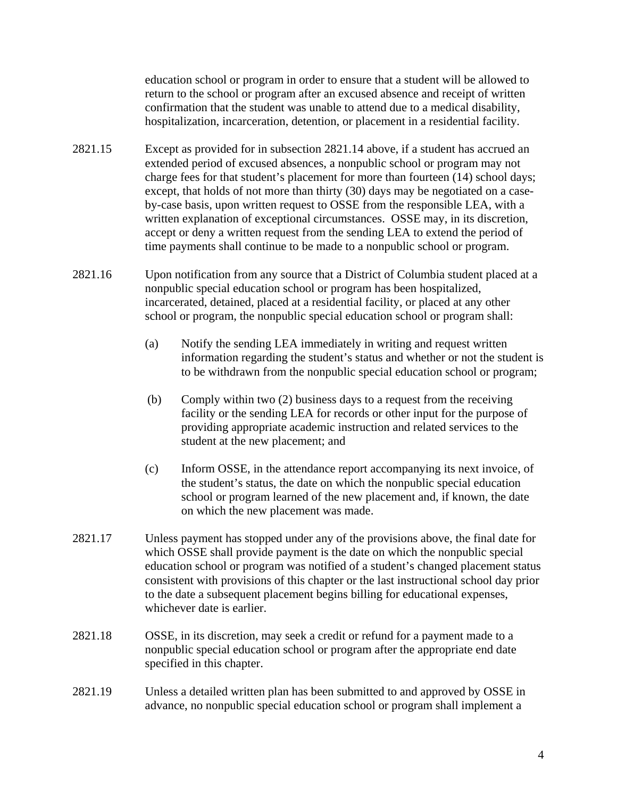education school or program in order to ensure that a student will be allowed to return to the school or program after an excused absence and receipt of written confirmation that the student was unable to attend due to a medical disability, hospitalization, incarceration, detention, or placement in a residential facility.

- 2821.15 Except as provided for in subsection 2821.14 above, if a student has accrued an extended period of excused absences, a nonpublic school or program may not charge fees for that student's placement for more than fourteen (14) school days; except, that holds of not more than thirty (30) days may be negotiated on a caseby-case basis, upon written request to OSSE from the responsible LEA, with a written explanation of exceptional circumstances. OSSE may, in its discretion, accept or deny a written request from the sending LEA to extend the period of time payments shall continue to be made to a nonpublic school or program.
- 2821.16 Upon notification from any source that a District of Columbia student placed at a nonpublic special education school or program has been hospitalized, incarcerated, detained, placed at a residential facility, or placed at any other school or program, the nonpublic special education school or program shall:
	- (a) Notify the sending LEA immediately in writing and request written information regarding the student's status and whether or not the student is to be withdrawn from the nonpublic special education school or program;
	- (b) Comply within two (2) business days to a request from the receiving facility or the sending LEA for records or other input for the purpose of providing appropriate academic instruction and related services to the student at the new placement; and
	- (c) Inform OSSE, in the attendance report accompanying its next invoice, of the student's status, the date on which the nonpublic special education school or program learned of the new placement and, if known, the date on which the new placement was made.
- 2821.17 Unless payment has stopped under any of the provisions above, the final date for which OSSE shall provide payment is the date on which the nonpublic special education school or program was notified of a student's changed placement status consistent with provisions of this chapter or the last instructional school day prior to the date a subsequent placement begins billing for educational expenses, whichever date is earlier.
- 2821.18 OSSE, in its discretion, may seek a credit or refund for a payment made to a nonpublic special education school or program after the appropriate end date specified in this chapter.
- 2821.19 Unless a detailed written plan has been submitted to and approved by OSSE in advance, no nonpublic special education school or program shall implement a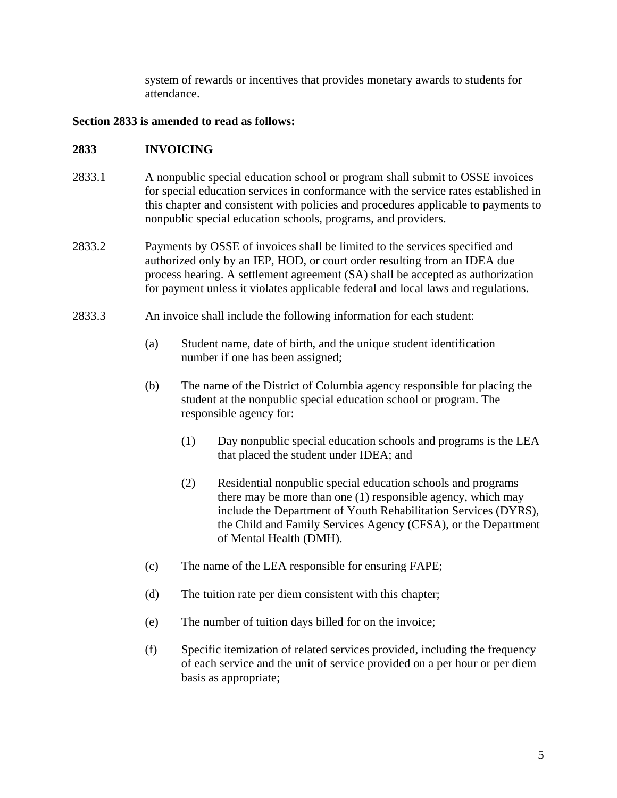system of rewards or incentives that provides monetary awards to students for attendance.

#### **Section 2833 is amended to read as follows:**

### **2833 INVOICING**

- 2833.1 A nonpublic special education school or program shall submit to OSSE invoices for special education services in conformance with the service rates established in this chapter and consistent with policies and procedures applicable to payments to nonpublic special education schools, programs, and providers.
- 2833.2 Payments by OSSE of invoices shall be limited to the services specified and authorized only by an IEP, HOD, or court order resulting from an IDEA due process hearing. A settlement agreement (SA) shall be accepted as authorization for payment unless it violates applicable federal and local laws and regulations.
- 2833.3 An invoice shall include the following information for each student:
	- (a) Student name, date of birth, and the unique student identification number if one has been assigned;
	- (b) The name of the District of Columbia agency responsible for placing the student at the nonpublic special education school or program. The responsible agency for:
		- (1) Day nonpublic special education schools and programs is the LEA that placed the student under IDEA; and
		- (2) Residential nonpublic special education schools and programs there may be more than one (1) responsible agency, which may include the Department of Youth Rehabilitation Services (DYRS), the Child and Family Services Agency (CFSA), or the Department of Mental Health (DMH).
	- (c) The name of the LEA responsible for ensuring FAPE;
	- (d) The tuition rate per diem consistent with this chapter;
	- (e) The number of tuition days billed for on the invoice;
	- (f) Specific itemization of related services provided, including the frequency of each service and the unit of service provided on a per hour or per diem basis as appropriate;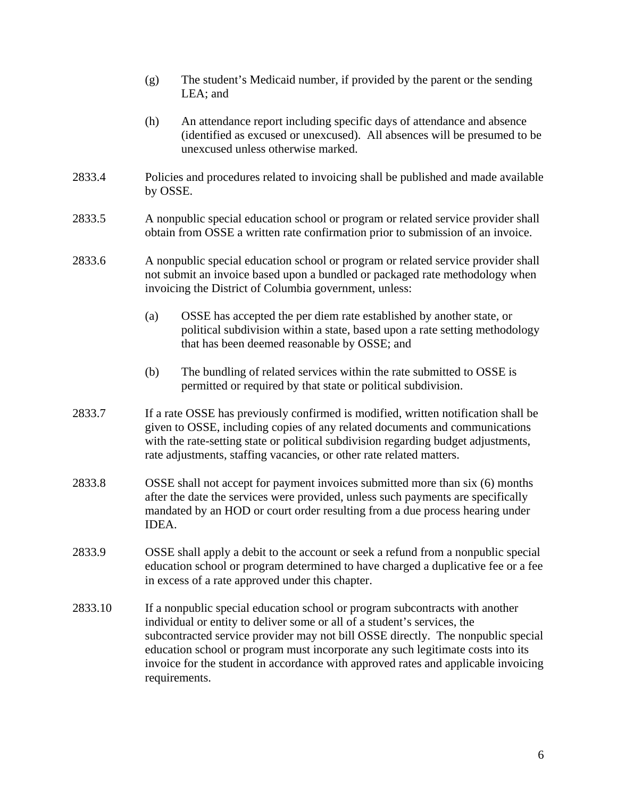- (g) The student's Medicaid number, if provided by the parent or the sending LEA; and
- (h) An attendance report including specific days of attendance and absence (identified as excused or unexcused). All absences will be presumed to be unexcused unless otherwise marked.
- 2833.4 Policies and procedures related to invoicing shall be published and made available by OSSE.
- 2833.5 A nonpublic special education school or program or related service provider shall obtain from OSSE a written rate confirmation prior to submission of an invoice.
- 2833.6 A nonpublic special education school or program or related service provider shall not submit an invoice based upon a bundled or packaged rate methodology when invoicing the District of Columbia government, unless:
	- (a) OSSE has accepted the per diem rate established by another state, or political subdivision within a state, based upon a rate setting methodology that has been deemed reasonable by OSSE; and
	- (b) The bundling of related services within the rate submitted to OSSE is permitted or required by that state or political subdivision.
- 2833.7 If a rate OSSE has previously confirmed is modified, written notification shall be given to OSSE, including copies of any related documents and communications with the rate-setting state or political subdivision regarding budget adjustments, rate adjustments, staffing vacancies, or other rate related matters.
- 2833.8 OSSE shall not accept for payment invoices submitted more than six (6) months after the date the services were provided, unless such payments are specifically mandated by an HOD or court order resulting from a due process hearing under IDEA.
- 2833.9 OSSE shall apply a debit to the account or seek a refund from a nonpublic special education school or program determined to have charged a duplicative fee or a fee in excess of a rate approved under this chapter.
- 2833.10 If a nonpublic special education school or program subcontracts with another individual or entity to deliver some or all of a student's services, the subcontracted service provider may not bill OSSE directly. The nonpublic special education school or program must incorporate any such legitimate costs into its invoice for the student in accordance with approved rates and applicable invoicing requirements.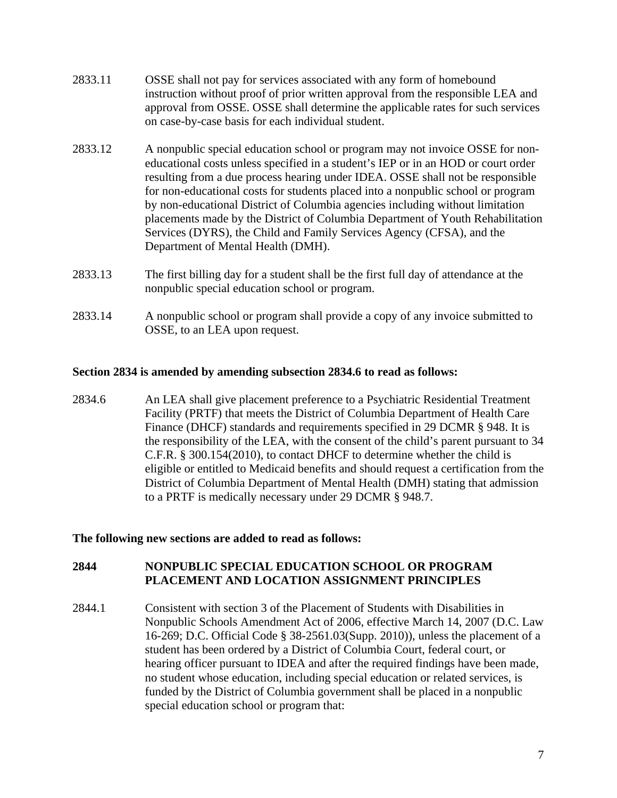- 2833.11 OSSE shall not pay for services associated with any form of homebound instruction without proof of prior written approval from the responsible LEA and approval from OSSE. OSSE shall determine the applicable rates for such services on case-by-case basis for each individual student.
- 2833.12 A nonpublic special education school or program may not invoice OSSE for noneducational costs unless specified in a student's IEP or in an HOD or court order resulting from a due process hearing under IDEA. OSSE shall not be responsible for non-educational costs for students placed into a nonpublic school or program by non-educational District of Columbia agencies including without limitation placements made by the District of Columbia Department of Youth Rehabilitation Services (DYRS), the Child and Family Services Agency (CFSA), and the Department of Mental Health (DMH).
- 2833.13 The first billing day for a student shall be the first full day of attendance at the nonpublic special education school or program.
- 2833.14 A nonpublic school or program shall provide a copy of any invoice submitted to OSSE, to an LEA upon request.

#### **Section 2834 is amended by amending subsection 2834.6 to read as follows:**

2834.6 An LEA shall give placement preference to a Psychiatric Residential Treatment Facility (PRTF) that meets the District of Columbia Department of Health Care Finance (DHCF) standards and requirements specified in 29 DCMR § 948. It is the responsibility of the LEA, with the consent of the child's parent pursuant to 34 C.F.R. § 300.154(2010), to contact DHCF to determine whether the child is eligible or entitled to Medicaid benefits and should request a certification from the District of Columbia Department of Mental Health (DMH) stating that admission to a PRTF is medically necessary under 29 DCMR § 948.7.

#### **The following new sections are added to read as follows:**

### **2844 NONPUBLIC SPECIAL EDUCATION SCHOOL OR PROGRAM PLACEMENT AND LOCATION ASSIGNMENT PRINCIPLES**

2844.1 Consistent with section 3 of the Placement of Students with Disabilities in Nonpublic Schools Amendment Act of 2006, effective March 14, 2007 (D.C. Law 16-269; D.C. Official Code § 38-2561.03(Supp. 2010)), unless the placement of a student has been ordered by a District of Columbia Court, federal court, or hearing officer pursuant to IDEA and after the required findings have been made, no student whose education, including special education or related services, is funded by the District of Columbia government shall be placed in a nonpublic special education school or program that: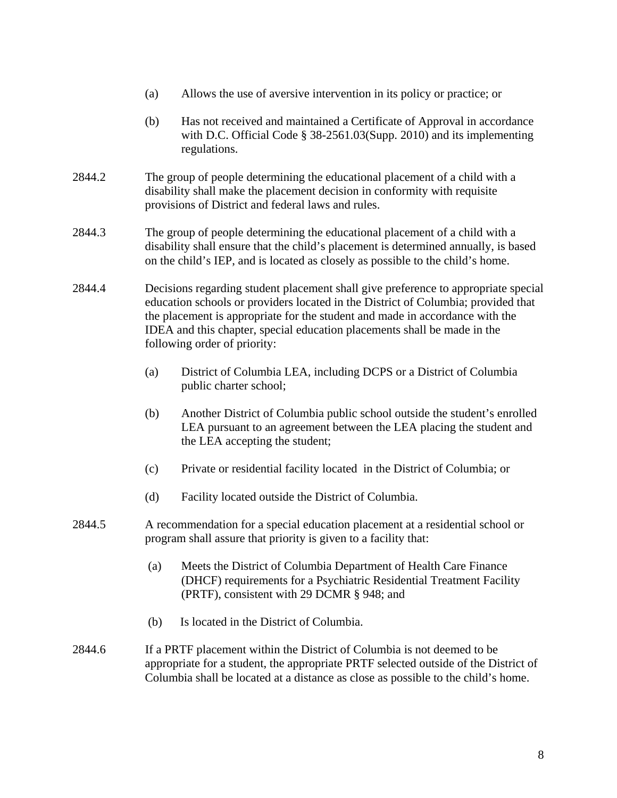- (a) Allows the use of aversive intervention in its policy or practice; or
- (b) Has not received and maintained a Certificate of Approval in accordance with D.C. Official Code § 38-2561.03(Supp. 2010) and its implementing regulations.
- 2844.2 The group of people determining the educational placement of a child with a disability shall make the placement decision in conformity with requisite provisions of District and federal laws and rules.
- 2844.3 The group of people determining the educational placement of a child with a disability shall ensure that the child's placement is determined annually, is based on the child's IEP, and is located as closely as possible to the child's home.
- 2844.4 Decisions regarding student placement shall give preference to appropriate special education schools or providers located in the District of Columbia; provided that the placement is appropriate for the student and made in accordance with the IDEA and this chapter, special education placements shall be made in the following order of priority:
	- (a) District of Columbia LEA, including DCPS or a District of Columbia public charter school;
	- (b) Another District of Columbia public school outside the student's enrolled LEA pursuant to an agreement between the LEA placing the student and the LEA accepting the student;
	- (c) Private or residential facility located in the District of Columbia; or
	- (d) Facility located outside the District of Columbia.
- 2844.5 A recommendation for a special education placement at a residential school or program shall assure that priority is given to a facility that:
	- (a) Meets the District of Columbia Department of Health Care Finance (DHCF) requirements for a Psychiatric Residential Treatment Facility (PRTF), consistent with 29 DCMR § 948; and
	- (b) Is located in the District of Columbia.
- 2844.6 If a PRTF placement within the District of Columbia is not deemed to be appropriate for a student, the appropriate PRTF selected outside of the District of Columbia shall be located at a distance as close as possible to the child's home.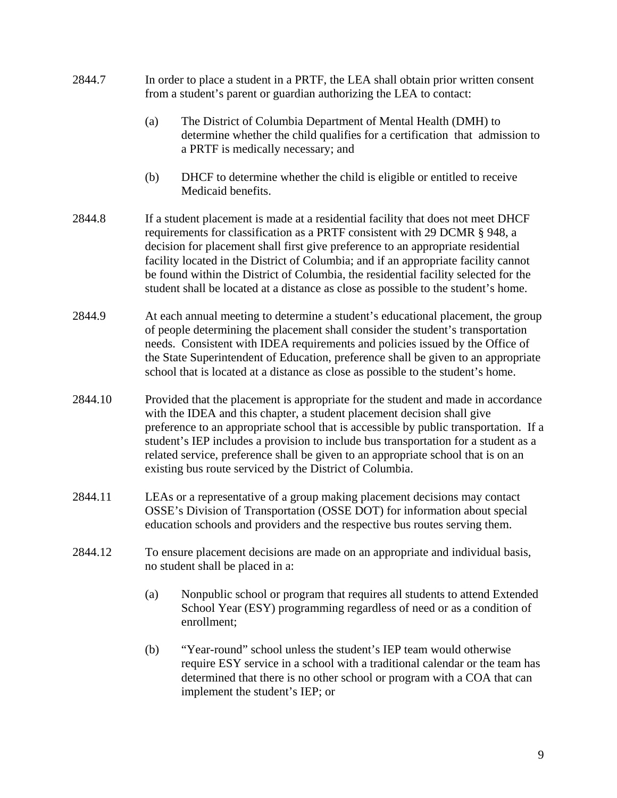- 2844.7 In order to place a student in a PRTF, the LEA shall obtain prior written consent from a student's parent or guardian authorizing the LEA to contact:
	- (a) The District of Columbia Department of Mental Health (DMH) to determine whether the child qualifies for a certification that admission to a PRTF is medically necessary; and
	- (b) DHCF to determine whether the child is eligible or entitled to receive Medicaid benefits.
- 2844.8 If a student placement is made at a residential facility that does not meet DHCF requirements for classification as a PRTF consistent with 29 DCMR § 948, a decision for placement shall first give preference to an appropriate residential facility located in the District of Columbia; and if an appropriate facility cannot be found within the District of Columbia, the residential facility selected for the student shall be located at a distance as close as possible to the student's home.
- 2844.9 At each annual meeting to determine a student's educational placement, the group of people determining the placement shall consider the student's transportation needs. Consistent with IDEA requirements and policies issued by the Office of the State Superintendent of Education, preference shall be given to an appropriate school that is located at a distance as close as possible to the student's home.
- 2844.10 Provided that the placement is appropriate for the student and made in accordance with the IDEA and this chapter, a student placement decision shall give preference to an appropriate school that is accessible by public transportation. If a student's IEP includes a provision to include bus transportation for a student as a related service, preference shall be given to an appropriate school that is on an existing bus route serviced by the District of Columbia.
- 2844.11 LEAs or a representative of a group making placement decisions may contact OSSE's Division of Transportation (OSSE DOT) for information about special education schools and providers and the respective bus routes serving them.
- 2844.12 To ensure placement decisions are made on an appropriate and individual basis, no student shall be placed in a:
	- (a) Nonpublic school or program that requires all students to attend Extended School Year (ESY) programming regardless of need or as a condition of enrollment;
	- (b) "Year-round" school unless the student's IEP team would otherwise require ESY service in a school with a traditional calendar or the team has determined that there is no other school or program with a COA that can implement the student's IEP; or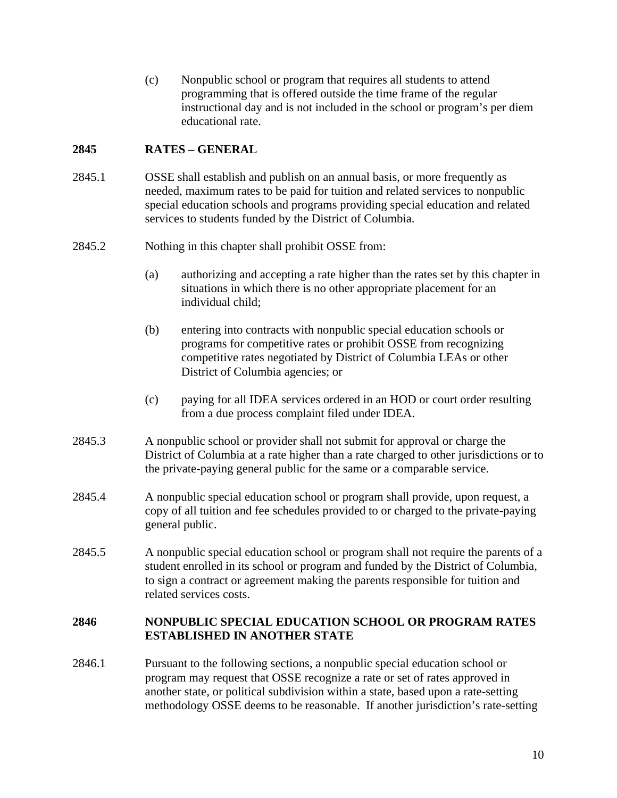(c) Nonpublic school or program that requires all students to attend programming that is offered outside the time frame of the regular instructional day and is not included in the school or program's per diem educational rate.

## **2845 RATES – GENERAL**

- 2845.1 OSSE shall establish and publish on an annual basis, or more frequently as needed, maximum rates to be paid for tuition and related services to nonpublic special education schools and programs providing special education and related services to students funded by the District of Columbia.
- 2845.2 Nothing in this chapter shall prohibit OSSE from:
	- (a) authorizing and accepting a rate higher than the rates set by this chapter in situations in which there is no other appropriate placement for an individual child;
	- (b) entering into contracts with nonpublic special education schools or programs for competitive rates or prohibit OSSE from recognizing competitive rates negotiated by District of Columbia LEAs or other District of Columbia agencies; or
	- (c) paying for all IDEA services ordered in an HOD or court order resulting from a due process complaint filed under IDEA.
- 2845.3 A nonpublic school or provider shall not submit for approval or charge the District of Columbia at a rate higher than a rate charged to other jurisdictions or to the private-paying general public for the same or a comparable service.
- 2845.4 A nonpublic special education school or program shall provide, upon request, a copy of all tuition and fee schedules provided to or charged to the private-paying general public.
- 2845.5 A nonpublic special education school or program shall not require the parents of a student enrolled in its school or program and funded by the District of Columbia, to sign a contract or agreement making the parents responsible for tuition and related services costs.

## **2846 NONPUBLIC SPECIAL EDUCATION SCHOOL OR PROGRAM RATES ESTABLISHED IN ANOTHER STATE**

2846.1 Pursuant to the following sections, a nonpublic special education school or program may request that OSSE recognize a rate or set of rates approved in another state, or political subdivision within a state, based upon a rate-setting methodology OSSE deems to be reasonable. If another jurisdiction's rate-setting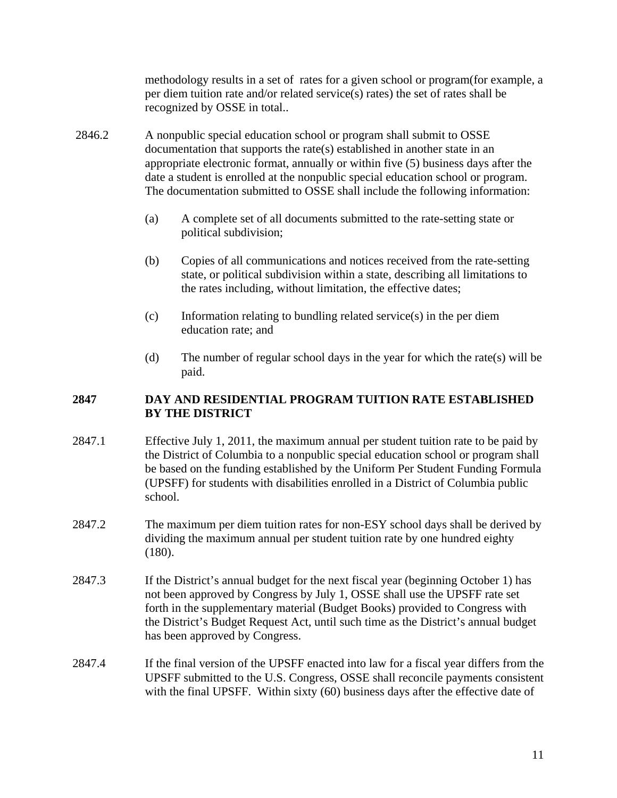methodology results in a set of rates for a given school or program(for example, a per diem tuition rate and/or related service(s) rates) the set of rates shall be recognized by OSSE in total..

- 2846.2 A nonpublic special education school or program shall submit to OSSE documentation that supports the rate(s) established in another state in an appropriate electronic format, annually or within five (5) business days after the date a student is enrolled at the nonpublic special education school or program. The documentation submitted to OSSE shall include the following information:
	- (a) A complete set of all documents submitted to the rate-setting state or political subdivision;
	- (b) Copies of all communications and notices received from the rate-setting state, or political subdivision within a state, describing all limitations to the rates including, without limitation, the effective dates;
	- (c) Information relating to bundling related service(s) in the per diem education rate; and
	- (d) The number of regular school days in the year for which the rate(s) will be paid.

## **2847 DAY AND RESIDENTIAL PROGRAM TUITION RATE ESTABLISHED BY THE DISTRICT**

- 2847.1 Effective July 1, 2011, the maximum annual per student tuition rate to be paid by the District of Columbia to a nonpublic special education school or program shall be based on the funding established by the Uniform Per Student Funding Formula (UPSFF) for students with disabilities enrolled in a District of Columbia public school.
- 2847.2 The maximum per diem tuition rates for non-ESY school days shall be derived by dividing the maximum annual per student tuition rate by one hundred eighty (180).
- 2847.3 If the District's annual budget for the next fiscal year (beginning October 1) has not been approved by Congress by July 1, OSSE shall use the UPSFF rate set forth in the supplementary material (Budget Books) provided to Congress with the District's Budget Request Act, until such time as the District's annual budget has been approved by Congress.
- 2847.4 If the final version of the UPSFF enacted into law for a fiscal year differs from the UPSFF submitted to the U.S. Congress, OSSE shall reconcile payments consistent with the final UPSFF. Within sixty (60) business days after the effective date of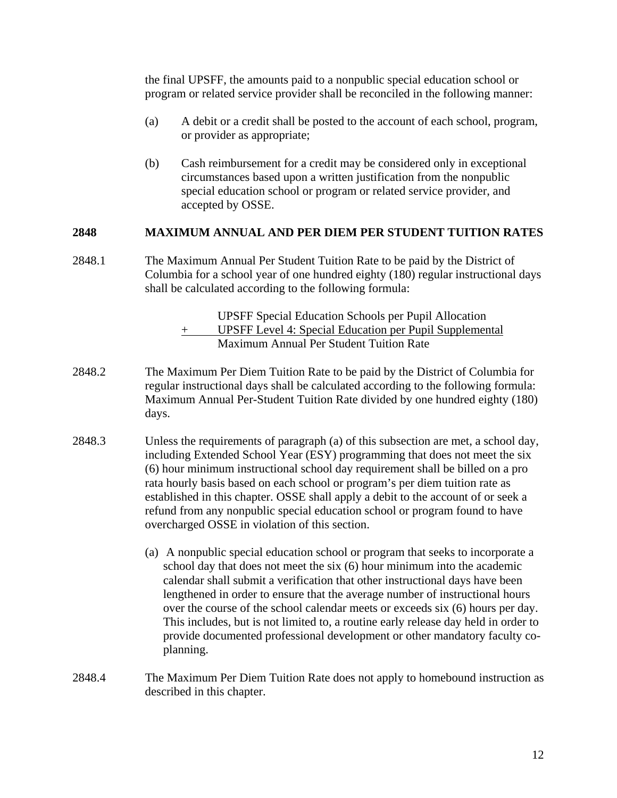the final UPSFF, the amounts paid to a nonpublic special education school or program or related service provider shall be reconciled in the following manner:

- (a) A debit or a credit shall be posted to the account of each school, program, or provider as appropriate;
- (b) Cash reimbursement for a credit may be considered only in exceptional circumstances based upon a written justification from the nonpublic special education school or program or related service provider, and accepted by OSSE.

### **2848 MAXIMUM ANNUAL AND PER DIEM PER STUDENT TUITION RATES**

2848.1 The Maximum Annual Per Student Tuition Rate to be paid by the District of Columbia for a school year of one hundred eighty (180) regular instructional days shall be calculated according to the following formula:

> UPSFF Special Education Schools per Pupil Allocation + UPSFF Level 4: Special Education per Pupil Supplemental Maximum Annual Per Student Tuition Rate

- 2848.2 The Maximum Per Diem Tuition Rate to be paid by the District of Columbia for regular instructional days shall be calculated according to the following formula: Maximum Annual Per-Student Tuition Rate divided by one hundred eighty (180) days.
- 2848.3 Unless the requirements of paragraph (a) of this subsection are met, a school day, including Extended School Year (ESY) programming that does not meet the six (6) hour minimum instructional school day requirement shall be billed on a pro rata hourly basis based on each school or program's per diem tuition rate as established in this chapter. OSSE shall apply a debit to the account of or seek a refund from any nonpublic special education school or program found to have overcharged OSSE in violation of this section.
	- (a) A nonpublic special education school or program that seeks to incorporate a school day that does not meet the six (6) hour minimum into the academic calendar shall submit a verification that other instructional days have been lengthened in order to ensure that the average number of instructional hours over the course of the school calendar meets or exceeds six (6) hours per day. This includes, but is not limited to, a routine early release day held in order to provide documented professional development or other mandatory faculty coplanning.
- 2848.4 The Maximum Per Diem Tuition Rate does not apply to homebound instruction as described in this chapter.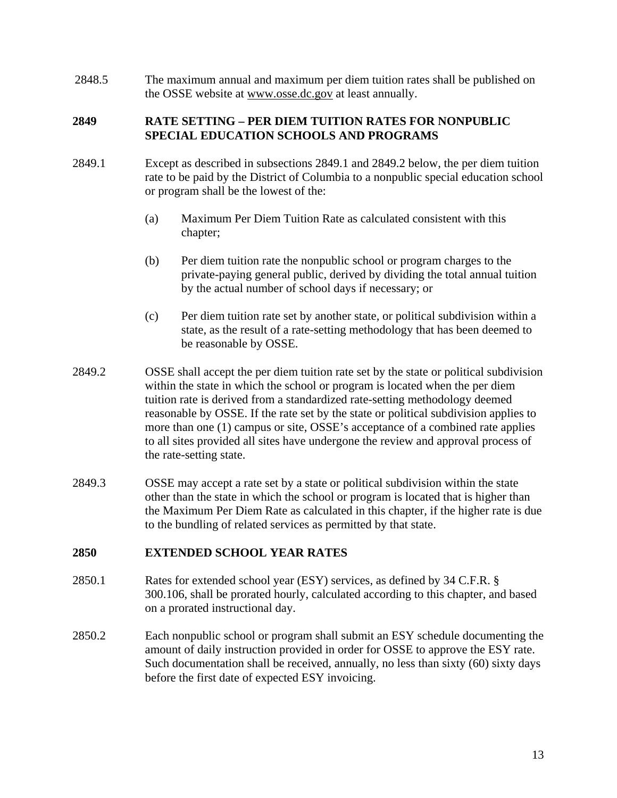2848.5 The maximum annual and maximum per diem tuition rates shall be published on the OSSE website at www.osse.dc.gov at least annually.

### **2849 RATE SETTING – PER DIEM TUITION RATES FOR NONPUBLIC SPECIAL EDUCATION SCHOOLS AND PROGRAMS**

- 2849.1 Except as described in subsections 2849.1 and 2849.2 below, the per diem tuition rate to be paid by the District of Columbia to a nonpublic special education school or program shall be the lowest of the:
	- (a) Maximum Per Diem Tuition Rate as calculated consistent with this chapter;
	- (b) Per diem tuition rate the nonpublic school or program charges to the private-paying general public, derived by dividing the total annual tuition by the actual number of school days if necessary; or
	- (c) Per diem tuition rate set by another state, or political subdivision within a state, as the result of a rate-setting methodology that has been deemed to be reasonable by OSSE.
- 2849.2 OSSE shall accept the per diem tuition rate set by the state or political subdivision within the state in which the school or program is located when the per diem tuition rate is derived from a standardized rate-setting methodology deemed reasonable by OSSE. If the rate set by the state or political subdivision applies to more than one (1) campus or site, OSSE's acceptance of a combined rate applies to all sites provided all sites have undergone the review and approval process of the rate-setting state.
- 2849.3 OSSE may accept a rate set by a state or political subdivision within the state other than the state in which the school or program is located that is higher than the Maximum Per Diem Rate as calculated in this chapter, if the higher rate is due to the bundling of related services as permitted by that state.

## **2850 EXTENDED SCHOOL YEAR RATES**

- 2850.1 Rates for extended school year (ESY) services, as defined by 34 C.F.R. § 300.106, shall be prorated hourly, calculated according to this chapter, and based on a prorated instructional day.
- 2850.2 Each nonpublic school or program shall submit an ESY schedule documenting the amount of daily instruction provided in order for OSSE to approve the ESY rate. Such documentation shall be received, annually, no less than sixty (60) sixty days before the first date of expected ESY invoicing.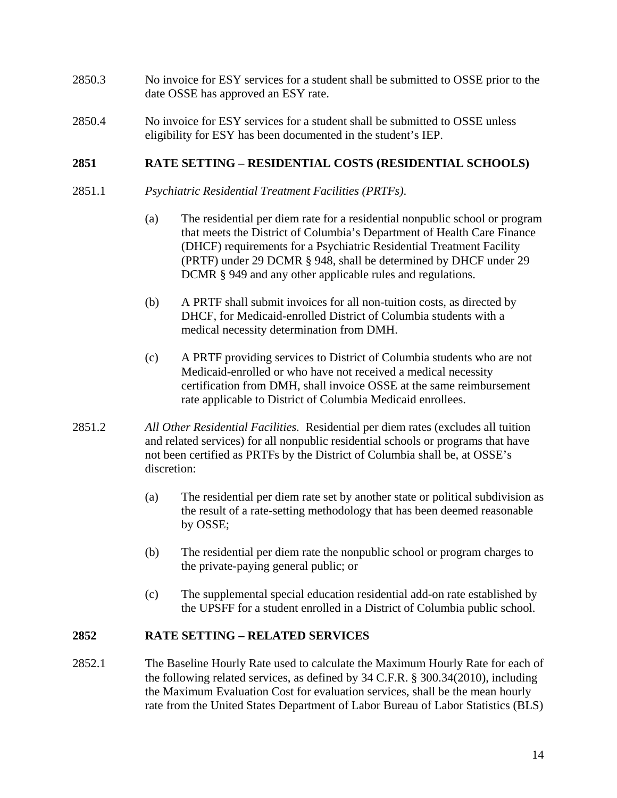- 2850.3 No invoice for ESY services for a student shall be submitted to OSSE prior to the date OSSE has approved an ESY rate.
- 2850.4 No invoice for ESY services for a student shall be submitted to OSSE unless eligibility for ESY has been documented in the student's IEP.

### **2851 RATE SETTING – RESIDENTIAL COSTS (RESIDENTIAL SCHOOLS)**

- 2851.1 *Psychiatric Residential Treatment Facilities (PRTFs)*.
	- (a) The residential per diem rate for a residential nonpublic school or program that meets the District of Columbia's Department of Health Care Finance (DHCF) requirements for a Psychiatric Residential Treatment Facility (PRTF) under 29 DCMR § 948, shall be determined by DHCF under 29 DCMR § 949 and any other applicable rules and regulations.
	- (b) A PRTF shall submit invoices for all non-tuition costs, as directed by DHCF, for Medicaid-enrolled District of Columbia students with a medical necessity determination from DMH.
	- (c) A PRTF providing services to District of Columbia students who are not Medicaid-enrolled or who have not received a medical necessity certification from DMH, shall invoice OSSE at the same reimbursement rate applicable to District of Columbia Medicaid enrollees.
- 2851.2 *All Other Residential Facilities.* Residential per diem rates (excludes all tuition and related services) for all nonpublic residential schools or programs that have not been certified as PRTFs by the District of Columbia shall be, at OSSE's discretion:
	- (a) The residential per diem rate set by another state or political subdivision as the result of a rate-setting methodology that has been deemed reasonable by OSSE;
	- (b) The residential per diem rate the nonpublic school or program charges to the private-paying general public; or
	- (c) The supplemental special education residential add-on rate established by the UPSFF for a student enrolled in a District of Columbia public school.

#### **2852 RATE SETTING – RELATED SERVICES**

2852.1 The Baseline Hourly Rate used to calculate the Maximum Hourly Rate for each of the following related services, as defined by 34 C.F.R. § 300.34(2010), including the Maximum Evaluation Cost for evaluation services, shall be the mean hourly rate from the United States Department of Labor Bureau of Labor Statistics (BLS)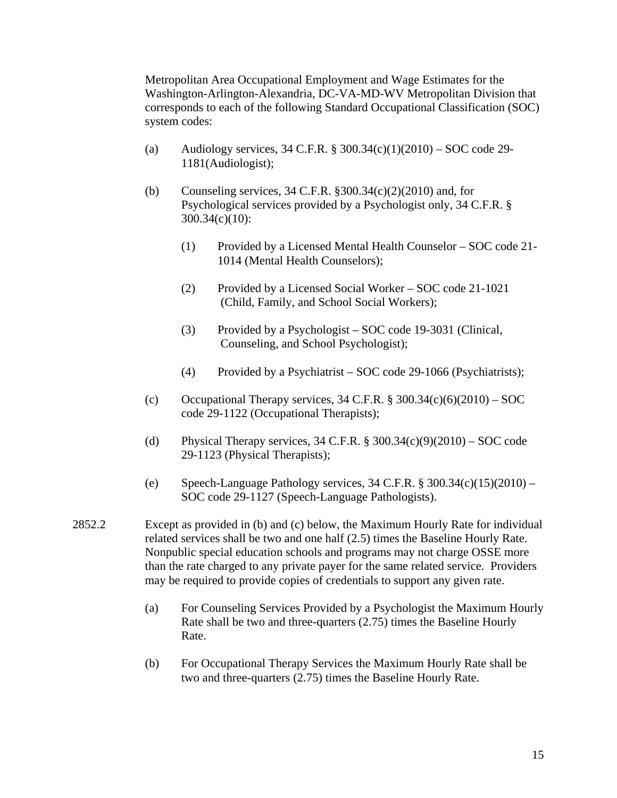Metropolitan Area Occupational Employment and Wage Estimates for the Washington-Arlington-Alexandria, DC-VA-MD-WV Metropolitan Division that corresponds to each of the following Standard Occupational Classification (SOC) system codes:

- (a) Audiology services,  $34$  C.F.R. §  $300.34(c)(1)(2010) -$  SOC code 29-1181(Audiologist);
- (b) Counseling services,  $34$  C.F.R.  $\S 300.34(c)(2)(2010)$  and, for Psychological services provided by a Psychologist only, 34 C.F.R. § 300.34(c)(10):
	- (1) Provided by a Licensed Mental Health Counselor SOC code 21- 1014 (Mental Health Counselors);
	- (2) Provided by a Licensed Social Worker SOC code 21-1021 (Child, Family, and School Social Workers);
	- (3) Provided by a Psychologist SOC code 19-3031 (Clinical, Counseling, and School Psychologist);
	- (4) Provided by a Psychiatrist SOC code 29-1066 (Psychiatrists);
- (c) Occupational Therapy services,  $34$  C.F.R.  $\frac{8}{3}$  300.34(c)(6)(2010) SOC code 29-1122 (Occupational Therapists);
- (d) Physical Therapy services,  $34$  C.F.R. §  $300.34(c)(9)(2010) -$  SOC code 29-1123 (Physical Therapists);
- (e) Speech-Language Pathology services,  $34$  C.F.R. §  $300.34(c)(15)(2010) -$ SOC code 29-1127 (Speech-Language Pathologists).
- 2852.2 Except as provided in (b) and (c) below, the Maximum Hourly Rate for individual related services shall be two and one half (2.5) times the Baseline Hourly Rate. Nonpublic special education schools and programs may not charge OSSE more than the rate charged to any private payer for the same related service. Providers may be required to provide copies of credentials to support any given rate.
	- (a) For Counseling Services Provided by a Psychologist the Maximum Hourly Rate shall be two and three-quarters (2.75) times the Baseline Hourly Rate.
	- (b) For Occupational Therapy Services the Maximum Hourly Rate shall be two and three-quarters (2.75) times the Baseline Hourly Rate.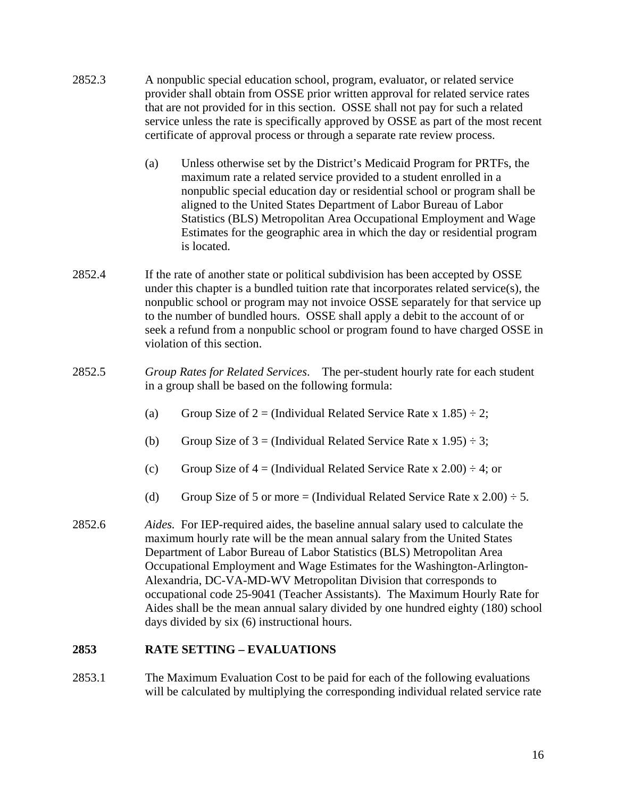- 2852.3 A nonpublic special education school, program, evaluator, or related service provider shall obtain from OSSE prior written approval for related service rates that are not provided for in this section. OSSE shall not pay for such a related service unless the rate is specifically approved by OSSE as part of the most recent certificate of approval process or through a separate rate review process.
	- (a) Unless otherwise set by the District's Medicaid Program for PRTFs, the maximum rate a related service provided to a student enrolled in a nonpublic special education day or residential school or program shall be aligned to the United States Department of Labor Bureau of Labor Statistics (BLS) Metropolitan Area Occupational Employment and Wage Estimates for the geographic area in which the day or residential program is located.
- 2852.4 If the rate of another state or political subdivision has been accepted by OSSE under this chapter is a bundled tuition rate that incorporates related service(s), the nonpublic school or program may not invoice OSSE separately for that service up to the number of bundled hours. OSSE shall apply a debit to the account of or seek a refund from a nonpublic school or program found to have charged OSSE in violation of this section.
- 2852.5 *Group Rates for Related Services*. The per-student hourly rate for each student in a group shall be based on the following formula:
	- (a) Group Size of 2 = (Individual Related Service Rate x 1.85)  $\div$  2;
	- (b) Group Size of  $3 =$  (Individual Related Service Rate x 1.95)  $\div$  3;
	- (c) Group Size of  $4 = (Individual Related Service Rate x 2.00) \div 4$ ; or
	- (d) Group Size of 5 or more = (Individual Related Service Rate x 2.00)  $\div$  5.
- 2852.6 *Aides.* For IEP-required aides, the baseline annual salary used to calculate the maximum hourly rate will be the mean annual salary from the United States Department of Labor Bureau of Labor Statistics (BLS) Metropolitan Area Occupational Employment and Wage Estimates for the Washington-Arlington-Alexandria, DC-VA-MD-WV Metropolitan Division that corresponds to occupational code 25-9041 (Teacher Assistants). The Maximum Hourly Rate for Aides shall be the mean annual salary divided by one hundred eighty (180) school days divided by six (6) instructional hours.

## **2853 RATE SETTING – EVALUATIONS**

2853.1 The Maximum Evaluation Cost to be paid for each of the following evaluations will be calculated by multiplying the corresponding individual related service rate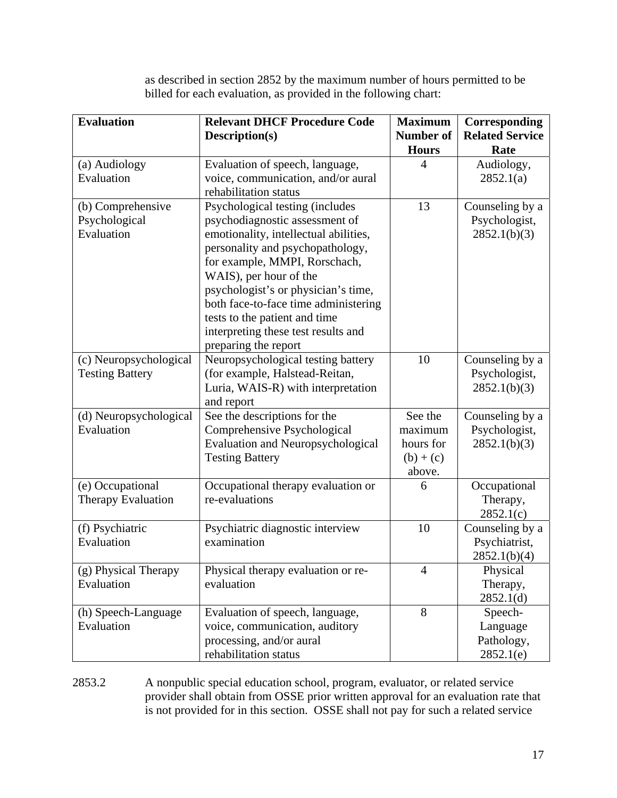as described in section 2852 by the maximum number of hours permitted to be billed for each evaluation, as provided in the following chart:

| <b>Evaluation</b>                    | <b>Relevant DHCF Procedure Code</b>                                     | <b>Maximum</b>   | Corresponding                 |
|--------------------------------------|-------------------------------------------------------------------------|------------------|-------------------------------|
|                                      | Description(s)                                                          | <b>Number of</b> | <b>Related Service</b>        |
|                                      |                                                                         | <b>Hours</b>     | Rate                          |
| (a) Audiology                        | Evaluation of speech, language,                                         | 4                | Audiology,                    |
| Evaluation                           | voice, communication, and/or aural                                      |                  | 2852.1(a)                     |
|                                      | rehabilitation status                                                   |                  |                               |
| (b) Comprehensive                    | Psychological testing (includes                                         | 13               | Counseling by a               |
| Psychological                        | psychodiagnostic assessment of                                          |                  | Psychologist,                 |
| Evaluation                           | emotionality, intellectual abilities,                                   |                  | 2852.1(b)(3)                  |
|                                      | personality and psychopathology,                                        |                  |                               |
|                                      | for example, MMPI, Rorschach,                                           |                  |                               |
|                                      | WAIS), per hour of the                                                  |                  |                               |
|                                      | psychologist's or physician's time,                                     |                  |                               |
|                                      | both face-to-face time administering                                    |                  |                               |
|                                      | tests to the patient and time                                           |                  |                               |
|                                      | interpreting these test results and                                     |                  |                               |
|                                      | preparing the report                                                    |                  |                               |
| (c) Neuropsychological               | Neuropsychological testing battery                                      | 10               | Counseling by a               |
| <b>Testing Battery</b>               | (for example, Halstead-Reitan,                                          |                  | Psychologist,                 |
|                                      | Luria, WAIS-R) with interpretation                                      |                  | 2852.1(b)(3)                  |
|                                      | and report                                                              | See the          |                               |
| (d) Neuropsychological<br>Evaluation | See the descriptions for the                                            | maximum          | Counseling by a               |
|                                      | Comprehensive Psychological<br><b>Evaluation and Neuropsychological</b> | hours for        | Psychologist,<br>2852.1(b)(3) |
|                                      | <b>Testing Battery</b>                                                  | $(b) + (c)$      |                               |
|                                      |                                                                         | above.           |                               |
| (e) Occupational                     | Occupational therapy evaluation or                                      | 6                | Occupational                  |
| <b>Therapy Evaluation</b>            | re-evaluations                                                          |                  | Therapy,                      |
|                                      |                                                                         |                  | 2852.1(c)                     |
| (f) Psychiatric                      | Psychiatric diagnostic interview                                        | 10               | Counseling by a               |
| Evaluation                           | examination                                                             |                  | Psychiatrist,                 |
|                                      |                                                                         |                  | 2852.1(b)(4)                  |
| (g) Physical Therapy                 | Physical therapy evaluation or re-                                      | $\overline{4}$   | Physical                      |
| Evaluation                           | evaluation                                                              |                  | Therapy,                      |
|                                      |                                                                         |                  | 2852.1(d)                     |
| (h) Speech-Language                  | Evaluation of speech, language,                                         | 8                | Speech-                       |
| Evaluation                           | voice, communication, auditory                                          |                  | Language                      |
|                                      | processing, and/or aural                                                |                  | Pathology,                    |
|                                      | rehabilitation status                                                   |                  | 2852.1(e)                     |

2853.2 A nonpublic special education school, program, evaluator, or related service provider shall obtain from OSSE prior written approval for an evaluation rate that is not provided for in this section. OSSE shall not pay for such a related service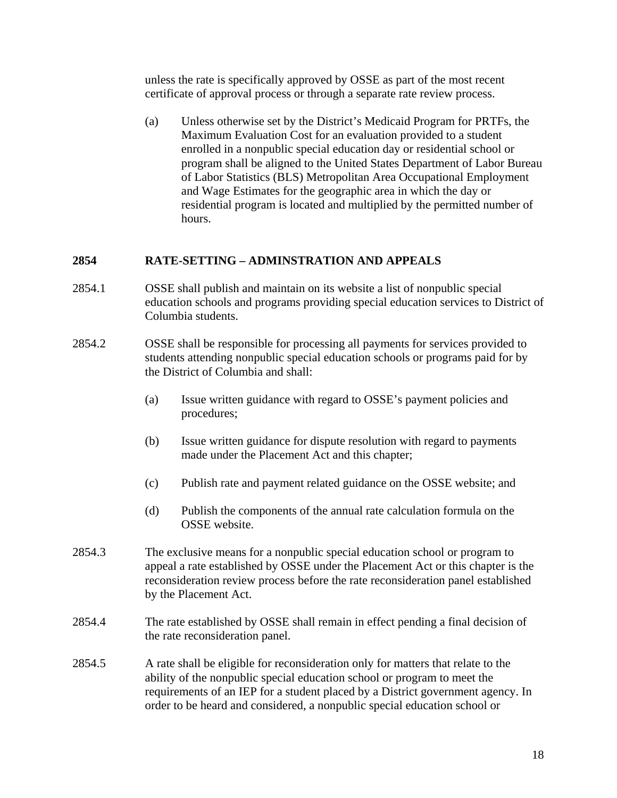unless the rate is specifically approved by OSSE as part of the most recent certificate of approval process or through a separate rate review process.

(a) Unless otherwise set by the District's Medicaid Program for PRTFs, the Maximum Evaluation Cost for an evaluation provided to a student enrolled in a nonpublic special education day or residential school or program shall be aligned to the United States Department of Labor Bureau of Labor Statistics (BLS) Metropolitan Area Occupational Employment and Wage Estimates for the geographic area in which the day or residential program is located and multiplied by the permitted number of hours.

### **2854 RATE-SETTING – ADMINSTRATION AND APPEALS**

- 2854.1 OSSE shall publish and maintain on its website a list of nonpublic special education schools and programs providing special education services to District of Columbia students.
- 2854.2 OSSE shall be responsible for processing all payments for services provided to students attending nonpublic special education schools or programs paid for by the District of Columbia and shall:
	- (a) Issue written guidance with regard to OSSE's payment policies and procedures;
	- (b) Issue written guidance for dispute resolution with regard to payments made under the Placement Act and this chapter;
	- (c) Publish rate and payment related guidance on the OSSE website; and
	- (d) Publish the components of the annual rate calculation formula on the OSSE website.
- 2854.3 The exclusive means for a nonpublic special education school or program to appeal a rate established by OSSE under the Placement Act or this chapter is the reconsideration review process before the rate reconsideration panel established by the Placement Act.
- 2854.4 The rate established by OSSE shall remain in effect pending a final decision of the rate reconsideration panel.
- 2854.5 A rate shall be eligible for reconsideration only for matters that relate to the ability of the nonpublic special education school or program to meet the requirements of an IEP for a student placed by a District government agency. In order to be heard and considered, a nonpublic special education school or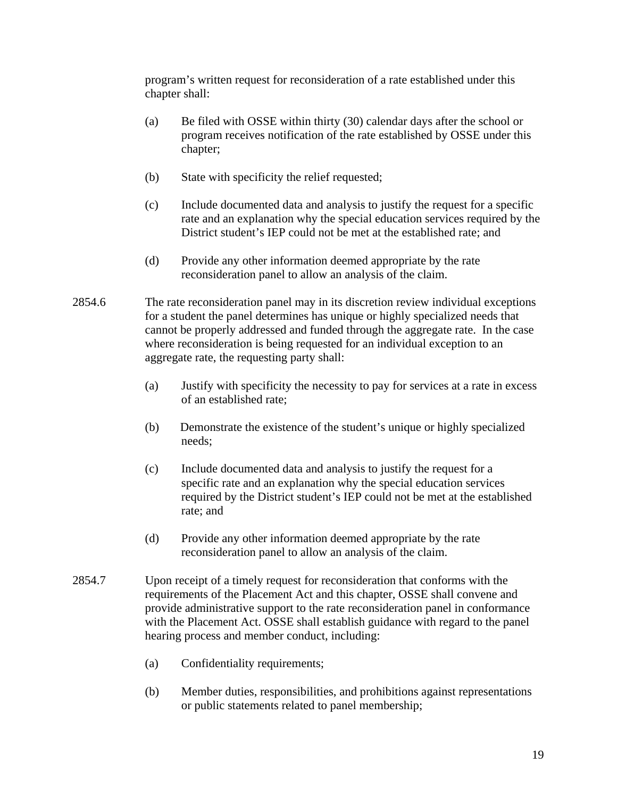program's written request for reconsideration of a rate established under this chapter shall:

- (a) Be filed with OSSE within thirty (30) calendar days after the school or program receives notification of the rate established by OSSE under this chapter;
- (b) State with specificity the relief requested;
- (c) Include documented data and analysis to justify the request for a specific rate and an explanation why the special education services required by the District student's IEP could not be met at the established rate; and
- (d) Provide any other information deemed appropriate by the rate reconsideration panel to allow an analysis of the claim.
- 2854.6 The rate reconsideration panel may in its discretion review individual exceptions for a student the panel determines has unique or highly specialized needs that cannot be properly addressed and funded through the aggregate rate. In the case where reconsideration is being requested for an individual exception to an aggregate rate, the requesting party shall:
	- (a) Justify with specificity the necessity to pay for services at a rate in excess of an established rate;
	- (b) Demonstrate the existence of the student's unique or highly specialized needs;
	- (c) Include documented data and analysis to justify the request for a specific rate and an explanation why the special education services required by the District student's IEP could not be met at the established rate; and
	- (d) Provide any other information deemed appropriate by the rate reconsideration panel to allow an analysis of the claim.
- 2854.7 Upon receipt of a timely request for reconsideration that conforms with the requirements of the Placement Act and this chapter, OSSE shall convene and provide administrative support to the rate reconsideration panel in conformance with the Placement Act. OSSE shall establish guidance with regard to the panel hearing process and member conduct, including:
	- (a) Confidentiality requirements;
	- (b) Member duties, responsibilities, and prohibitions against representations or public statements related to panel membership;